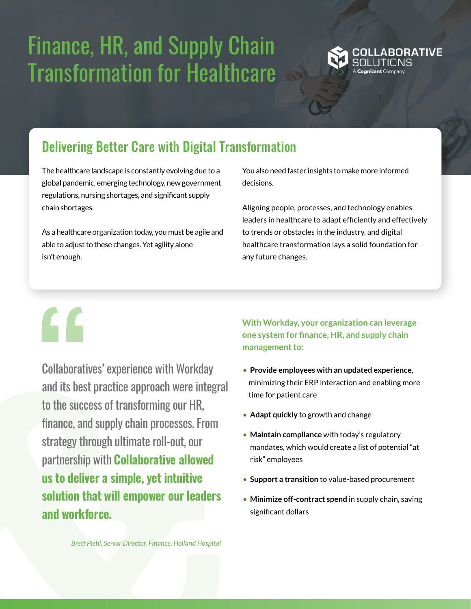# Finance, HR, and Supply Chain Transformation for Healthcare



# Delivering Better Care with Digital Transformation

The healthcare landscape is constantly evolving due to a global pandemic, emerging technology, new government regulations, nursing shortages, and significant supply chain shortages.

As a healthcare organization today, you must be agile and able to adjust to these changes. Yet agility alone isn't enough.

You also need faster insights to make more informed decisions.

Aligning people, processes, and technology enables leaders in healthcare to adapt efficiently and effectively to trends or obstacles in the industry, and digital healthcare transformation lays a solid foundation for any future changes.

"

Collaboratives' experience with Workday and its best practice approach were integral to the success of transforming our HR, finance, and supply chain processes. From strategy through ultimate roll-out, our partnership with **Collaborative allowed us to deliver a simple, yet intuitive solution that will empower our leaders and workforce.**

**With Workday, your organization can leverage one system for finance, HR, and supply chain management to:** 

- **Provide employees with an updated experience**, minimizing their ERP interaction and enabling more time for patient care
- **Adapt quickly** to growth and change
- **Maintain compliance** with today's regulatory mandates, which would create a list of potential "at risk" employees
- **Support a transition** to value-based procurement
- **Minimize off-contract spend** in supply chain, saving significant dollars

*Brett Piehl, Senior Director, Finance, Holland Hospital*